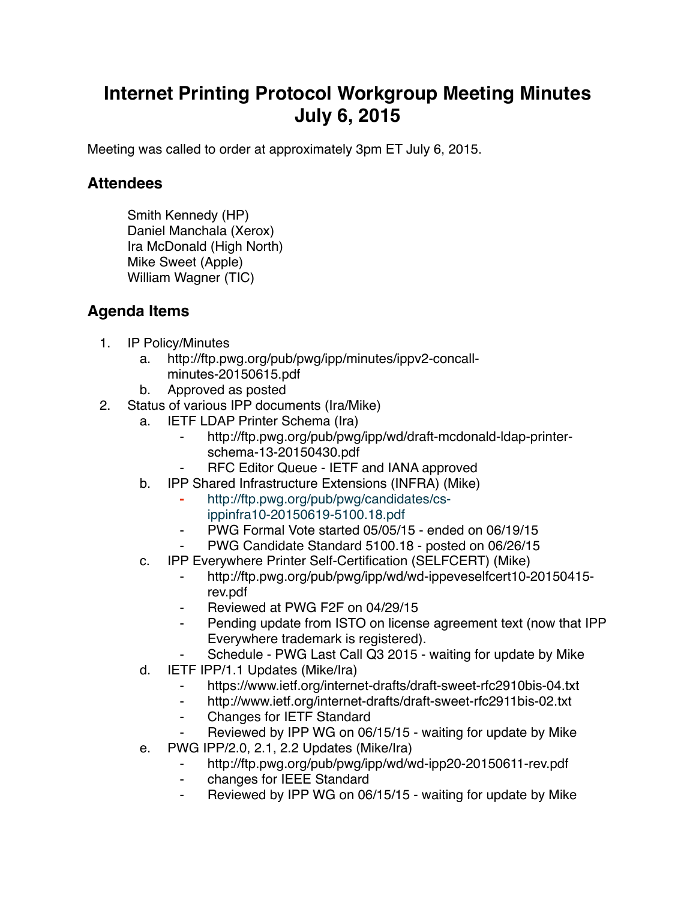## **Internet Printing Protocol Workgroup Meeting Minutes July 6, 2015**

Meeting was called to order at approximately 3pm ET July 6, 2015.

## **Attendees**

Smith Kennedy (HP) Daniel Manchala (Xerox) Ira McDonald (High North) Mike Sweet (Apple) William Wagner (TIC)

## **Agenda Items**

- 1. IP Policy/Minutes
	- a. http://ftp.pwg.org/pub/pwg/ipp/minutes/ippv2-concallminutes-20150615.pdf
	- b. Approved as posted
- 2. Status of various IPP documents (Ira/Mike)
	- a. IETF LDAP Printer Schema (Ira)
		- ⁃ http://ftp.pwg.org/pub/pwg/ipp/wd/draft-mcdonald-ldap-printerschema-13-20150430.pdf
		- ⁃ RFC Editor Queue IETF and IANA approved
	- b. IPP Shared Infrastructure Extensions (INFRA) (Mike)
		- **⁃** http://ftp.pwg.org/pub/pwg/candidates/csippinfra10-20150619-5100.18.pdf
		- ⁃ PWG Formal Vote started 05/05/15 ended on 06/19/15
		- PWG Candidate Standard 5100.18 posted on 06/26/15
	- c. IPP Everywhere Printer Self-Certification (SELFCERT) (Mike)
		- ⁃ http://ftp.pwg.org/pub/pwg/ipp/wd/wd-ippeveselfcert10-20150415 rev.pdf
		- Reviewed at PWG F2F on 04/29/15
		- Pending update from ISTO on license agreement text (now that IPP Everywhere trademark is registered).
		- Schedule PWG Last Call Q3 2015 waiting for update by Mike
	- d. IETF IPP/1.1 Updates (Mike/Ira)
		- https://www.ietf.org/internet-drafts/draft-sweet-rfc2910bis-04.txt
		- ⁃ http://www.ietf.org/internet-drafts/draft-sweet-rfc2911bis-02.txt
		- ⁃ Changes for IETF Standard
		- Reviewed by IPP WG on 06/15/15 waiting for update by Mike
	- e. PWG IPP/2.0, 2.1, 2.2 Updates (Mike/Ira)
		- ⁃ http://ftp.pwg.org/pub/pwg/ipp/wd/wd-ipp20-20150611-rev.pdf
		- ⁃ changes for IEEE Standard
		- Reviewed by IPP WG on 06/15/15 waiting for update by Mike